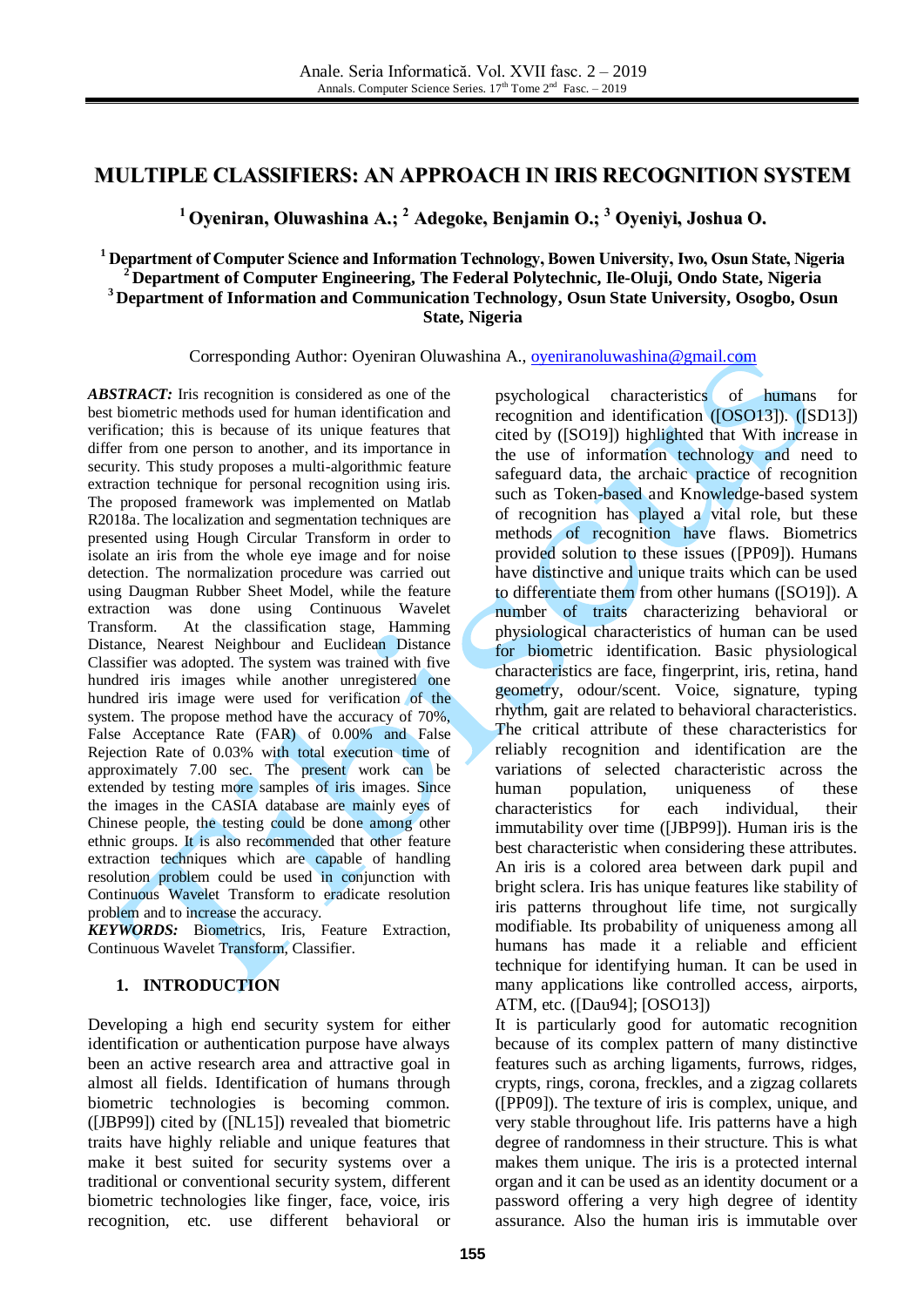# **MULTIPLE CLASSIFIERS: AN APPROACH IN IRIS RECOGNITION SYSTEM**

**<sup>1</sup> Oyeniran, Oluwashina A.; <sup>2</sup> Adegoke, Benjamin O.; <sup>3</sup> Oyeniyi, Joshua O.**

### **<sup>1</sup> Department of Computer Science and Information Technology, Bowen University, Iwo, Osun State, Nigeria <sup>2</sup> Department of Computer Engineering, The Federal Polytechnic, Ile-Oluji, Ondo State, Nigeria <sup>3</sup> Department of Information and Communication Technology, Osun State University, Osogbo, Osun State, Nigeria**

Corresponding Author: Oyeniran Oluwashina A., [oyeniranoluwashina@gmail.com](mailto:oyeniranoluwashina@gmail.com)

*ABSTRACT:* Iris recognition is considered as one of the best biometric methods used for human identification and verification; this is because of its unique features that differ from one person to another, and its importance in security. This study proposes a multi-algorithmic feature extraction technique for personal recognition using iris. The proposed framework was implemented on Matlab R2018a. The localization and segmentation techniques are presented using Hough Circular Transform in order to isolate an iris from the whole eye image and for noise detection. The normalization procedure was carried out using Daugman Rubber Sheet Model, while the feature extraction was done using Continuous Wavelet Transform. At the classification stage, Hamming Distance, Nearest Neighbour and Euclidean Distance Classifier was adopted. The system was trained with five hundred iris images while another unregistered one hundred iris image were used for verification of the system. The propose method have the accuracy of 70%, False Acceptance Rate (FAR) of 0.00% and False Rejection Rate of 0.03% with total execution time of approximately 7.00 sec. The present work can be extended by testing more samples of iris images. Since the images in the CASIA database are mainly eyes of Chinese people, the testing could be done among other ethnic groups. It is also recommended that other feature extraction techniques which are capable of handling resolution problem could be used in conjunction with Continuous Wavelet Transform to eradicate resolution problem and to increase the accuracy.

*KEYWORDS:* Biometrics, Iris, Feature Extraction, Continuous Wavelet Transform, Classifier.

## **1. INTRODUCTION**

Developing a high end security system for either identification or authentication purpose have always been an active research area and attractive goal in almost all fields. Identification of humans through biometric technologies is becoming common. ([JBP99]) cited by ([NL15]) revealed that biometric traits have highly reliable and unique features that make it best suited for security systems over a traditional or conventional security system, different biometric technologies like finger, face, voice, iris recognition, etc. use different behavioral or

psychological characteristics of humans for recognition and identification ([OSO13]). ([SD13]) cited by ([SO19]) highlighted that With increase in the use of information technology and need to safeguard data, the archaic practice of recognition such as Token-based and Knowledge-based system of recognition has played a vital role, but these methods of recognition have flaws. Biometrics provided solution to these issues ([PP09]). Humans have distinctive and unique traits which can be used to differentiate them from other humans ([SO19]). A number of traits characterizing behavioral or physiological characteristics of human can be used for biometric identification. Basic physiological characteristics are face, fingerprint, iris, retina, hand geometry, odour/scent. Voice, signature, typing rhythm, gait are related to behavioral characteristics. The critical attribute of these characteristics for reliably recognition and identification are the variations of selected characteristic across the human population, uniqueness of these characteristics for each individual, their immutability over time ([JBP99]). Human iris is the best characteristic when considering these attributes. An iris is a colored area between dark pupil and bright sclera. Iris has unique features like stability of iris patterns throughout life time, not surgically modifiable. Its probability of uniqueness among all humans has made it a reliable and efficient technique for identifying human. It can be used in many applications like controlled access, airports, ATM, etc. ([Dau94]; [OSO13])

It is particularly good for automatic recognition because of its complex pattern of many distinctive features such as arching ligaments, furrows, ridges, crypts, rings, corona, freckles, and a zigzag collarets ([PP09]). The texture of iris is complex, unique, and very stable throughout life. Iris patterns have a high degree of randomness in their structure. This is what makes them unique. The iris is a protected internal organ and it can be used as an identity document or a password offering a very high degree of identity assurance. Also the human iris is immutable over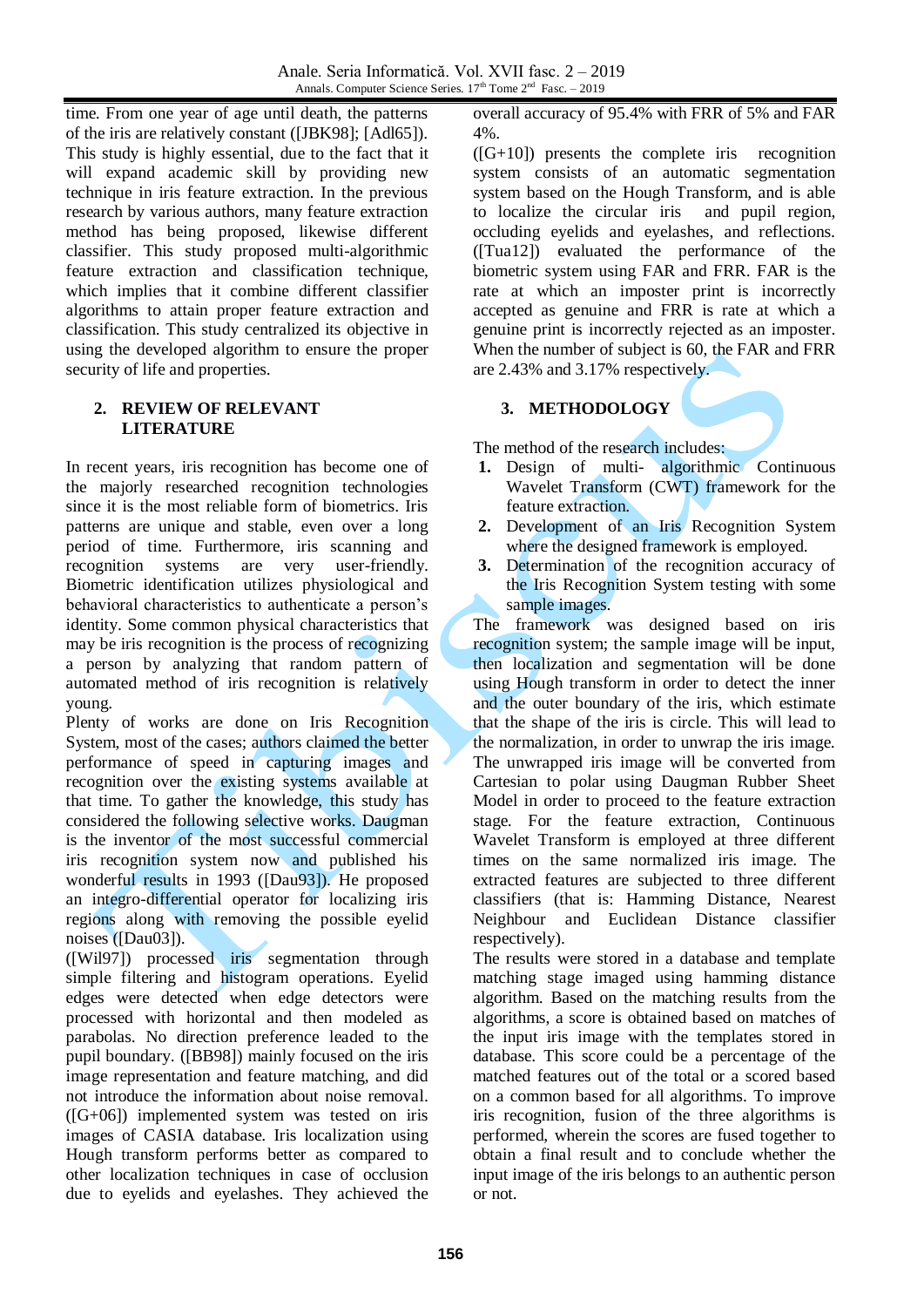time. From one year of age until death, the patterns of the iris are relatively constant ([JBK98]; [Adl65]). This study is highly essential, due to the fact that it will expand academic skill by providing new technique in iris feature extraction. In the previous research by various authors, many feature extraction method has being proposed, likewise different classifier. This study proposed multi-algorithmic feature extraction and classification technique, which implies that it combine different classifier algorithms to attain proper feature extraction and classification. This study centralized its objective in using the developed algorithm to ensure the proper security of life and properties.

### **2. REVIEW OF RELEVANT LITERATURE**

In recent years, iris recognition has become one of the majorly researched recognition technologies since it is the most reliable form of biometrics. Iris patterns are unique and stable, even over a long period of time. Furthermore, iris scanning and recognition systems are very user-friendly. Biometric identification utilizes physiological and behavioral characteristics to authenticate a person's identity. Some common physical characteristics that may be iris recognition is the process of recognizing a person by analyzing that random pattern of automated method of iris recognition is relatively young.

Plenty of works are done on Iris Recognition System, most of the cases; authors claimed the better performance of speed in capturing images and recognition over the existing systems available at that time. To gather the knowledge, this study has considered the following selective works. Daugman is the inventor of the most successful commercial iris recognition system now and published his wonderful results in 1993 ([Dau93]). He proposed an integro-differential operator for localizing iris regions along with removing the possible eyelid noises ([Dau03]).

([Wil97]) processed iris segmentation through simple filtering and histogram operations. Eyelid edges were detected when edge detectors were processed with horizontal and then modeled as parabolas. No direction preference leaded to the pupil boundary. ([BB98]) mainly focused on the iris image representation and feature matching, and did not introduce the information about noise removal. ([G+06]) implemented system was tested on iris images of CASIA database. Iris localization using Hough transform performs better as compared to other localization techniques in case of occlusion due to eyelids and eyelashes. They achieved the

overall accuracy of 95.4% with FRR of 5% and FAR 4%.

 $(G+10)$  presents the complete iris recognition system consists of an automatic segmentation system based on the Hough Transform, and is able to localize the circular iris and pupil region, occluding eyelids and eyelashes, and reflections. ([Tua12]) evaluated the performance of the biometric system using FAR and FRR. FAR is the rate at which an imposter print is incorrectly accepted as genuine and FRR is rate at which a genuine print is incorrectly rejected as an imposter. When the number of subject is 60, the FAR and FRR are 2.43% and 3.17% respectively.

# **3. METHODOLOGY**

The method of the research includes:

- 1. Design of multi- algorithmic Continuous Wavelet Transform (CWT) framework for the feature extraction.
- **2.** Development of an Iris Recognition System where the designed framework is employed.
- **3.** Determination of the recognition accuracy of the Iris Recognition System testing with some sample images.

The framework was designed based on iris recognition system; the sample image will be input, then localization and segmentation will be done using Hough transform in order to detect the inner and the outer boundary of the iris, which estimate that the shape of the iris is circle. This will lead to the normalization, in order to unwrap the iris image. The unwrapped iris image will be converted from Cartesian to polar using Daugman Rubber Sheet Model in order to proceed to the feature extraction stage. For the feature extraction, Continuous Wavelet Transform is employed at three different times on the same normalized iris image. The extracted features are subjected to three different classifiers (that is: Hamming Distance, Nearest Neighbour and Euclidean Distance classifier respectively).

The results were stored in a database and template matching stage imaged using hamming distance algorithm. Based on the matching results from the algorithms, a score is obtained based on matches of the input iris image with the templates stored in database. This score could be a percentage of the matched features out of the total or a scored based on a common based for all algorithms. To improve iris recognition, fusion of the three algorithms is performed, wherein the scores are fused together to obtain a final result and to conclude whether the input image of the iris belongs to an authentic person or not.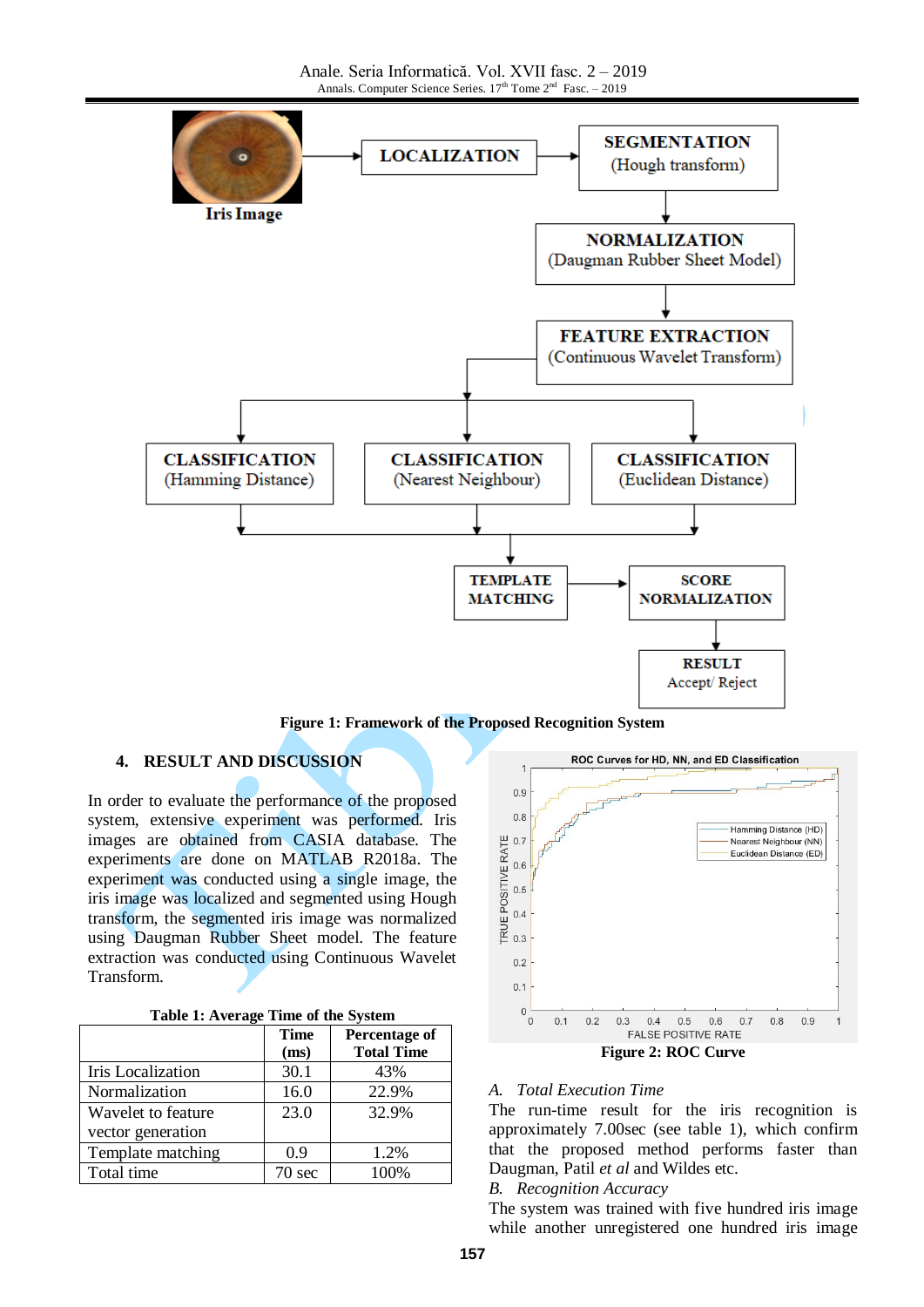Anale. Seria Informatică. Vol. XVII fasc. 2 – 2019 Annals. Computer Science Series.  $17<sup>th</sup>$  Tome  $2<sup>nd</sup>$  Fasc.  $-2019$ 



**Figure 1: Framework of the Proposed Recognition System**

#### **4. RESULT AND DISCUSSION**

In order to evaluate the performance of the proposed system, extensive experiment was performed. Iris images are obtained from CASIA database. The experiments are done on MATLAB R2018a. The experiment was conducted using a single image, the iris image was localized and segmented using Hough transform, the segmented iris image was normalized using Daugman Rubber Sheet model. The feature extraction was conducted using Continuous Wavelet Transform.

| Table 1: Average Time of the System |  |  |
|-------------------------------------|--|--|
|-------------------------------------|--|--|

|                    | <b>Time</b> | Percentage of     |
|--------------------|-------------|-------------------|
|                    | (ms)        | <b>Total Time</b> |
| Iris Localization  | 30.1        | 43%               |
| Normalization      | 16.0        | 22.9%             |
| Wavelet to feature | 23.0        | 32.9%             |
| vector generation  |             |                   |
| Template matching  | 0.9         | 1.2%              |
| Total time         | 70 sec      | 100%              |



**Figure 2: ROC Curve**

### *A. Total Execution Time*

The run-time result for the iris recognition is approximately 7.00sec (see table 1), which confirm that the proposed method performs faster than Daugman, Patil *et al* and Wildes etc.

#### *B. Recognition Accuracy*

The system was trained with five hundred iris image while another unregistered one hundred iris image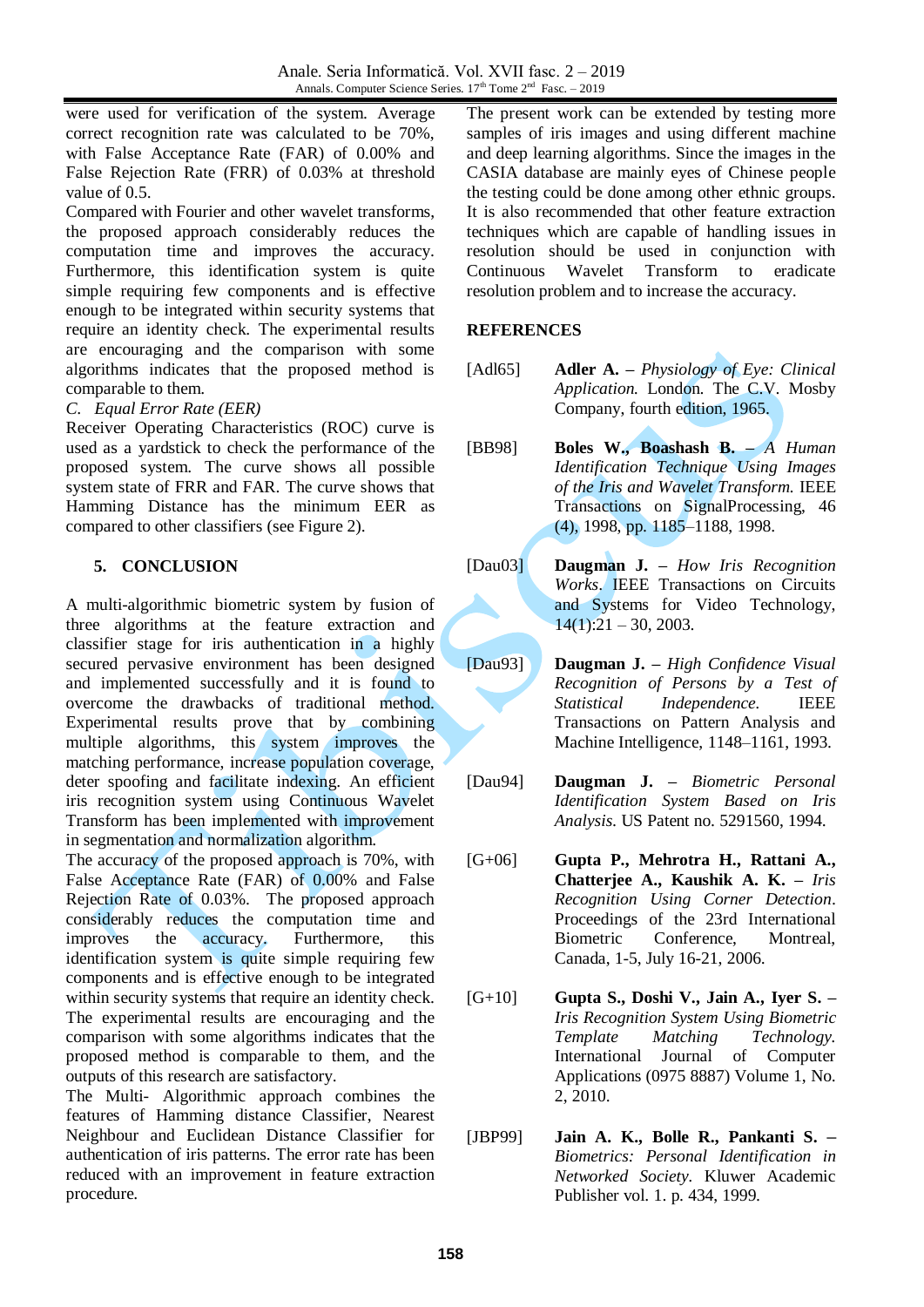were used for verification of the system. Average correct recognition rate was calculated to be 70%, with False Acceptance Rate (FAR) of 0.00% and False Rejection Rate (FRR) of 0.03% at threshold value of 0.5.

Compared with Fourier and other wavelet transforms, the proposed approach considerably reduces the computation time and improves the accuracy. Furthermore, this identification system is quite simple requiring few components and is effective enough to be integrated within security systems that require an identity check. The experimental results are encouraging and the comparison with some algorithms indicates that the proposed method is comparable to them.

## *C. Equal Error Rate (EER)*

Receiver Operating Characteristics (ROC) curve is used as a yardstick to check the performance of the proposed system. The curve shows all possible system state of FRR and FAR. The curve shows that Hamming Distance has the minimum EER as compared to other classifiers (see Figure 2).

# **5. CONCLUSION**

A multi-algorithmic biometric system by fusion of three algorithms at the feature extraction and classifier stage for iris authentication in a highly secured pervasive environment has been designed and implemented successfully and it is found to overcome the drawbacks of traditional method. Experimental results prove that by combining multiple algorithms, this system improves the matching performance, increase population coverage, deter spoofing and facilitate indexing. An efficient iris recognition system using Continuous Wavelet Transform has been implemented with improvement in segmentation and normalization algorithm.

The accuracy of the proposed approach is 70%, with False Acceptance Rate (FAR) of 0.00% and False Rejection Rate of 0.03%. The proposed approach considerably reduces the computation time and improves the accuracy. Furthermore, this identification system is quite simple requiring few components and is effective enough to be integrated within security systems that require an identity check. The experimental results are encouraging and the comparison with some algorithms indicates that the proposed method is comparable to them, and the outputs of this research are satisfactory.

The Multi- Algorithmic approach combines the features of Hamming distance Classifier, Nearest Neighbour and Euclidean Distance Classifier for authentication of iris patterns. The error rate has been reduced with an improvement in feature extraction procedure.

The present work can be extended by testing more samples of iris images and using different machine and deep learning algorithms. Since the images in the CASIA database are mainly eyes of Chinese people the testing could be done among other ethnic groups. It is also recommended that other feature extraction techniques which are capable of handling issues in resolution should be used in conjunction with Continuous Wavelet Transform to eradicate resolution problem and to increase the accuracy.

# **REFERENCES**

- [Adl65] **Adler A. –** *Physiology of Eye: Clinical Application.* London. The C.V. Mosby Company, fourth edition, 1965.
- [BB98] **Boles W., Boashash B. –** *A Human Identification Technique Using Images of the Iris and Wavelet Transform.* IEEE Transactions on SignalProcessing, 46 (4), 1998, pp. 1185–1188, 1998.
- [Dau03] **Daugman J. –** *How Iris Recognition Works*. IEEE Transactions on Circuits and Systems for Video Technology,  $14(1):21 - 30, 2003.$
- [Dau93] **Daugman J. –** *High Confidence Visual Recognition of Persons by a Test of Statistical Independence.* IEEE Transactions on Pattern Analysis and Machine Intelligence, 1148–1161, 1993.
- [Dau94] **Daugman J. –** *Biometric Personal Identification System Based on Iris Analysis.* US Patent no. 5291560, 1994.
- [G+06] **Gupta P., Mehrotra H., Rattani A., Chatterjee A., Kaushik A. K. –** *Iris Recognition Using Corner Detection*. Proceedings of the 23rd International Biometric Conference, Montreal, Canada, 1-5, July 16-21, 2006.
- [G+10] **Gupta S., Doshi V., Jain A., Iyer S. –** *Iris Recognition System Using Biometric Template Matching Technology.* International Journal of Computer Applications (0975 8887) Volume 1, No. 2, 2010.
- [JBP99] **Jain A. K., Bolle R., Pankanti S. –** *Biometrics: Personal Identification in Networked Society.* Kluwer Academic Publisher vol. 1. p. 434, 1999.